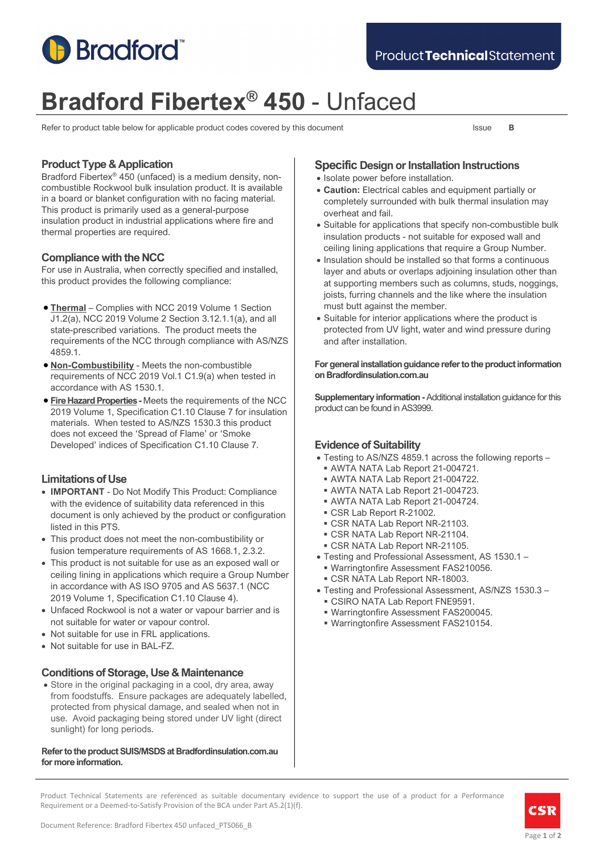

# **Bradford Fibertex® 450** - Unfaced

Refer to product table below for applicable product codes covered by this document Issue **B** 

# **Product Type & Application**

Bradford Fibertex® 450 (unfaced) is a medium density, noncombustible Rockwool bulk insulation product. It is available in a board or blanket configuration with no facing material. This product is primarily used as a general-purpose insulation product in industrial applications where fire and thermal properties are required.

# **Compliance with the NCC**

For use in Australia, when correctly specified and installed, this product provides the following compliance:

- **Thermal** Complies with NCC 2019 Volume 1 Section J1.2(a), NCC 2019 Volume 2 Section 3.12.1.1(a), and all state-prescribed variations. The product meets the requirements of the NCC through compliance with AS/NZS 4859.1.
- **Non-Combustibility** Meets the non-combustible requirements of NCC 2019 Vol.1 C1.9(a) when tested in accordance with AS 1530.1.
- **Fire Hazard Properties -** Meets the requirements of the NCC 2019 Volume 1, Specification C1.10 Clause 7 for insulation materials. When tested to AS/NZS 1530.3 this product does not exceed the 'Spread of Flame' or 'Smoke Developed' indices of Specification C1.10 Clause 7.

# **Limitations of Use**

- **IMPORTANT** Do Not Modify This Product: Compliance with the evidence of suitability data referenced in this document is only achieved by the product or configuration listed in this PTS.
- This product does not meet the non-combustibility or fusion temperature requirements of AS 1668.1, 2.3.2.
- This product is not suitable for use as an exposed wall or ceiling lining in applications which require a Group Number in accordance with AS ISO 9705 and AS 5637.1 (NCC 2019 Volume 1, Specification C1.10 Clause 4).
- Unfaced Rockwool is not a water or vapour barrier and is not suitable for water or vapour control.
- Not suitable for use in FRL applications.
- Not suitable for use in BAL-FZ.

# **Conditions of Storage, Use & Maintenance**

• Store in the original packaging in a cool, dry area, away from foodstuffs. Ensure packages are adequately labelled, protected from physical damage, and sealed when not in use. Avoid packaging being stored under UV light (direct sunlight) for long periods.

#### **Refer to the product SUIS/MSDS at Bradfordinsulation.com.au for more information.**

# **Specific Design or Installation Instructions**

- Isolate power before installation.
- **Caution:** Electrical cables and equipment partially or completely surrounded with bulk thermal insulation may overheat and fail.
- Suitable for applications that specify non-combustible bulk insulation products - not suitable for exposed wall and ceiling lining applications that require a Group Number.
- Insulation should be installed so that forms a continuous layer and abuts or overlaps adjoining insulation other than at supporting members such as columns, studs, noggings, joists, furring channels and the like where the insulation must butt against the member.
- Suitable for interior applications where the product is protected from UV light, water and wind pressure during and after installation.

#### **For general installation guidance refer to the product information on Bradfordinsulation.com.au**

**Supplementary information -**Additional installation guidance for this product can be found in AS3999.

# **Evidence of Suitability**

- Testing to AS/NZS 4859.1 across the following reports
	- AWTA NATA Lab Report 21-004721.
	- AWTA NATA Lab Report 21-004722.
	- AWTA NATA Lab Report 21-004723.
	- AWTA NATA Lab Report 21-004724.
	- CSR Lab Report R-21002.
	- CSR NATA Lab Report NR-21103.
	- CSR NATA Lab Report NR-21104.
	- CSR NATA Lab Report NR-21105.
- Testing and Professional Assessment, AS 1530.1 –
- Warringtonfire Assessment FAS210056.
- CSR NATA Lab Report NR-18003.
- Testing and Professional Assessment, AS/NZS 1530.3 CSIRO NATA Lab Report FNE9591.
	- Warringtonfire Assessment FAS200045.
	- Warringtonfire Assessment FAS210154.